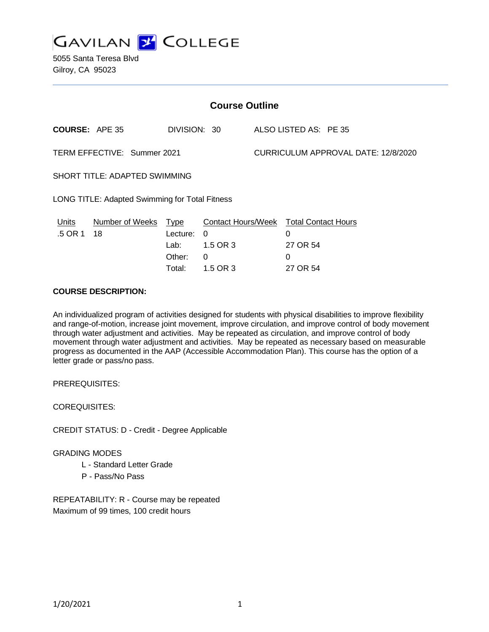

5055 Santa Teresa Blvd Gilroy, CA 95023

| <b>Course Outline</b>                          |                       |                                                     |                                       |  |                                                                                 |
|------------------------------------------------|-----------------------|-----------------------------------------------------|---------------------------------------|--|---------------------------------------------------------------------------------|
| <b>COURSE: APE 35</b>                          |                       | DIVISION: 30                                        |                                       |  | ALSO LISTED AS: PE 35                                                           |
| TERM EFFECTIVE: Summer 2021                    |                       |                                                     | CURRICULUM APPROVAL DATE: 12/8/2020   |  |                                                                                 |
| SHORT TITLE: ADAPTED SWIMMING                  |                       |                                                     |                                       |  |                                                                                 |
| LONG TITLE: Adapted Swimming for Total Fitness |                       |                                                     |                                       |  |                                                                                 |
| <u>Units</u><br>.5 OR 1                        | Number of Weeks<br>18 | <u>Type</u><br>Lecture:<br>Lab:<br>Other:<br>Total: | $\Omega$<br>1.5 OR 3<br>0<br>1.5 OR 3 |  | <b>Contact Hours/Week Total Contact Hours</b><br>0<br>27 OR 54<br>0<br>27 OR 54 |

# **COURSE DESCRIPTION:**

An individualized program of activities designed for students with physical disabilities to improve flexibility and range-of-motion, increase joint movement, improve circulation, and improve control of body movement through water adjustment and activities. May be repeated as circulation, and improve control of body movement through water adjustment and activities. May be repeated as necessary based on measurable progress as documented in the AAP (Accessible Accommodation Plan). This course has the option of a letter grade or pass/no pass.

PREREQUISITES:

COREQUISITES:

CREDIT STATUS: D - Credit - Degree Applicable

### GRADING MODES

- L Standard Letter Grade
- P Pass/No Pass

REPEATABILITY: R - Course may be repeated Maximum of 99 times, 100 credit hours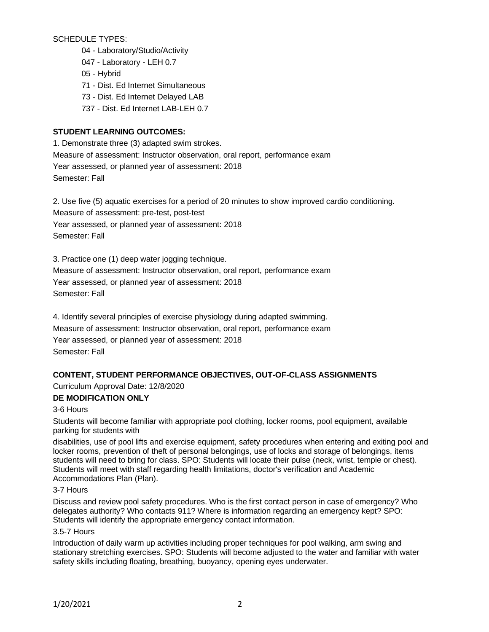SCHEDULE TYPES:

- 04 Laboratory/Studio/Activity
- 047 Laboratory LEH 0.7
- 05 Hybrid
- 71 Dist. Ed Internet Simultaneous
- 73 Dist. Ed Internet Delayed LAB
- 737 Dist. Ed Internet LAB-LEH 0.7

# **STUDENT LEARNING OUTCOMES:**

1. Demonstrate three (3) adapted swim strokes. Measure of assessment: Instructor observation, oral report, performance exam Year assessed, or planned year of assessment: 2018 Semester: Fall

2. Use five (5) aquatic exercises for a period of 20 minutes to show improved cardio conditioning. Measure of assessment: pre-test, post-test Year assessed, or planned year of assessment: 2018 Semester: Fall

3. Practice one (1) deep water jogging technique.

Measure of assessment: Instructor observation, oral report, performance exam Year assessed, or planned year of assessment: 2018 Semester: Fall

4. Identify several principles of exercise physiology during adapted swimming. Measure of assessment: Instructor observation, oral report, performance exam Year assessed, or planned year of assessment: 2018 Semester: Fall

# **CONTENT, STUDENT PERFORMANCE OBJECTIVES, OUT-OF-CLASS ASSIGNMENTS**

Curriculum Approval Date: 12/8/2020

# **DE MODIFICATION ONLY**

3-6 Hours

Students will become familiar with appropriate pool clothing, locker rooms, pool equipment, available parking for students with

disabilities, use of pool lifts and exercise equipment, safety procedures when entering and exiting pool and locker rooms, prevention of theft of personal belongings, use of locks and storage of belongings, items students will need to bring for class. SPO: Students will locate their pulse (neck, wrist, temple or chest). Students will meet with staff regarding health limitations, doctor's verification and Academic Accommodations Plan (Plan).

## 3-7 Hours

Discuss and review pool safety procedures. Who is the first contact person in case of emergency? Who delegates authority? Who contacts 911? Where is information regarding an emergency kept? SPO: Students will identify the appropriate emergency contact information.

# 3.5-7 Hours

Introduction of daily warm up activities including proper techniques for pool walking, arm swing and stationary stretching exercises. SPO: Students will become adjusted to the water and familiar with water safety skills including floating, breathing, buoyancy, opening eyes underwater.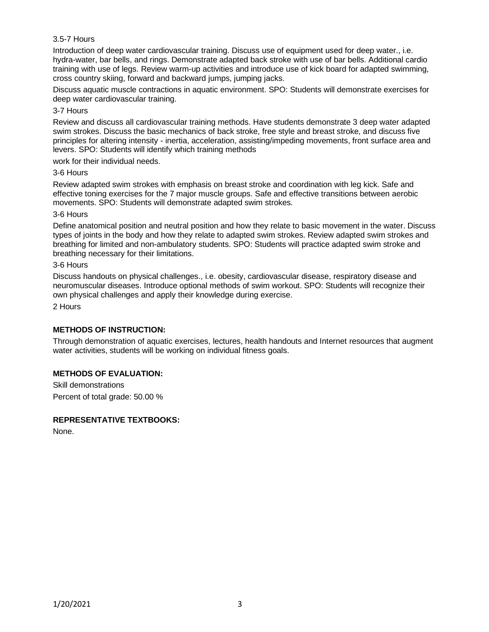### 3.5-7 Hours

Introduction of deep water cardiovascular training. Discuss use of equipment used for deep water., i.e. hydra-water, bar bells, and rings. Demonstrate adapted back stroke with use of bar bells. Additional cardio training with use of legs. Review warm-up activities and introduce use of kick board for adapted swimming, cross country skiing, forward and backward jumps, jumping jacks.

Discuss aquatic muscle contractions in aquatic environment. SPO: Students will demonstrate exercises for deep water cardiovascular training.

#### 3-7 Hours

Review and discuss all cardiovascular training methods. Have students demonstrate 3 deep water adapted swim strokes. Discuss the basic mechanics of back stroke, free style and breast stroke, and discuss five principles for altering intensity - inertia, acceleration, assisting/impeding movements, front surface area and levers. SPO: Students will identify which training methods

work for their individual needs.

#### 3-6 Hours

Review adapted swim strokes with emphasis on breast stroke and coordination with leg kick. Safe and effective toning exercises for the 7 major muscle groups. Safe and effective transitions between aerobic movements. SPO: Students will demonstrate adapted swim strokes.

#### 3-6 Hours

Define anatomical position and neutral position and how they relate to basic movement in the water. Discuss types of joints in the body and how they relate to adapted swim strokes. Review adapted swim strokes and breathing for limited and non-ambulatory students. SPO: Students will practice adapted swim stroke and breathing necessary for their limitations.

#### 3-6 Hours

Discuss handouts on physical challenges., i.e. obesity, cardiovascular disease, respiratory disease and neuromuscular diseases. Introduce optional methods of swim workout. SPO: Students will recognize their own physical challenges and apply their knowledge during exercise.

2 Hours

### **METHODS OF INSTRUCTION:**

Through demonstration of aquatic exercises, lectures, health handouts and Internet resources that augment water activities, students will be working on individual fitness goals.

### **METHODS OF EVALUATION:**

Skill demonstrations Percent of total grade: 50.00 %

### **REPRESENTATIVE TEXTBOOKS:**

None.